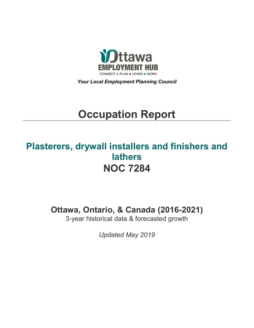

*Your Local Employment Planning Council*

# **Occupation Report**

# **Plasterers, drywall installers and finishers and lathers NOC 7284**

**Ottawa, Ontario, & Canada (2016-2021)**

3-year historical data & forecasted growth

*Updated May 2019*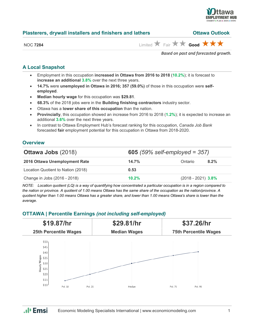

**Plasterers, drywall installers and finishers and lathers Ottawa Outlook**

# **A Local Snapshot**

- Employment in this occupation **increased in Ottawa from 2016 to 2018** (**10.2%**); it is forecast to **increase an additional 3.8%** over the next three years.
- **14.7%** were **unemployed in Ottawa in 2016; 357 (59.0%)** of those in this occupation were **selfemployed**.
- **Median hourly wage** for this occupation was **\$29.81**.
- **68.3%** of the 2018 jobs were in the **Building finishing contractors** industry sector.
- Ottawa has a **lower share of this occupation** than the nation.
- **Provincially**, this occupation showed an increase from 2016 to 2018 (**1.2%**); it is expected to increase an additional **3.6%** over the next three years.
- In contrast to Ottawa Employment Hub's forecast ranking for this occupation, *Canada Job Bank*  forecasted **fair** employment potential for this occupation in Ottawa from 2018-2020.

# **Overview**

| <b>Ottawa Jobs (2018)</b>          | <b>605</b> (59% self-employed = $357$ ) |                      |         |
|------------------------------------|-----------------------------------------|----------------------|---------|
| 2016 Ottawa Unemployment Rate      | 14.7%                                   | Ontario              | $8.2\%$ |
| Location Quotient to Nation (2018) | 0.53                                    |                      |         |
| Change in Jobs (2016 - 2018)       | 10.2%                                   | $(2018 - 2021)$ 3.8% |         |

*NOTE: Location quotient (LQ) is a way of quantifying how concentrated a particular occupation is in a region compared to the nation or province. A quotient of 1.00 means Ottawa has the same share of the occupation as the nation/province. A quotient higher than 1.00 means Ottawa has a greater share, and lower than 1.00 means Ottawa's share is lower than the average.*

## **OTTAWA | Percentile Earnings** *(not including self-employed)*

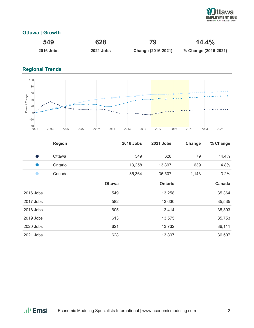

# **Ottawa | Growth**

| 549              | 628              | $14.4\%$           |                      |
|------------------|------------------|--------------------|----------------------|
| <b>2016 Jobs</b> | <b>2021 Jobs</b> | Change (2016-2021) | % Change (2016-2021) |

# **Regional Trends**



|           | <b>Region</b> |               | <b>2016 Jobs</b> | 2021 Jobs | Change | % Change |
|-----------|---------------|---------------|------------------|-----------|--------|----------|
| s,        | Ottawa        |               | 549              | 628       | 79     | 14.4%    |
|           | Ontario       |               | 13,258           | 13,897    | 639    | 4.8%     |
|           | Canada        |               | 35,364           | 36,507    | 1,143  | 3.2%     |
|           |               | <b>Ottawa</b> |                  | Ontario   |        | Canada   |
| 2016 Jobs |               | 549           |                  | 13,258    |        | 35,364   |
| 2017 Jobs |               | 582           |                  | 13,630    |        | 35,535   |
| 2018 Jobs |               | 605           |                  | 13,414    |        | 35,393   |
| 2019 Jobs |               | 613           |                  | 13,575    |        | 35,753   |
| 2020 Jobs |               | 621           |                  | 13,732    |        | 36,111   |
| 2021 Jobs |               | 628           |                  | 13,897    |        | 36,507   |

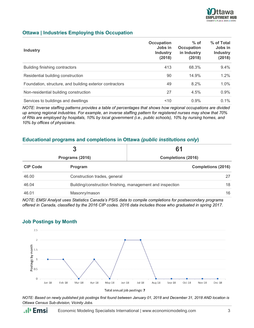

## **Ottawa | Industries Employing this Occupation**

| <b>Industry</b>                                          | Occupation<br>Jobs in<br><b>Industry</b><br>(2018) | $%$ of<br><b>Occupation</b><br>in Industry<br>(2018) | % of Total<br>Jobs in<br><b>Industry</b><br>(2018) |
|----------------------------------------------------------|----------------------------------------------------|------------------------------------------------------|----------------------------------------------------|
| Building finishing contractors                           | 413                                                | 68.3%                                                | 9.4%                                               |
| Residential building construction                        | 90                                                 | 14.9%                                                | 1.2%                                               |
| Foundation, structure, and building exterior contractors | 49                                                 | 8.2%                                                 | $1.0\%$                                            |
| Non-residential building construction                    | 27                                                 | 4.5%                                                 | 0.9%                                               |
| Services to buildings and dwellings                      | 10                                                 | $0.9\%$                                              | $0.1\%$                                            |

*NOTE: Inverse staffing patterns provides a table of percentages that shows how regional occupations are divided up among regional industries. For example, an inverse staffing pattern for registered nurses may show that 70% of RNs are employed by hospitals, 10% by local government (i.e., public schools), 10% by nursing homes, and 10% by offices of physicians.*

#### **Educational programs and completions in Ottawa** *(public institutions only***)**

| 3<br>Programs (2016) |                                                            | 61                        |    |
|----------------------|------------------------------------------------------------|---------------------------|----|
|                      |                                                            | <b>Completions (2016)</b> |    |
| <b>CIP Code</b>      | Program                                                    | <b>Completions (2016)</b> |    |
| 46.00                | Construction trades, general                               |                           | 27 |
| 46.04                | Building/construction finishing, management and inspection |                           | 18 |
| 46.01                | Masonry/mason                                              |                           | 16 |

*NOTE: EMSI Analyst uses Statistics Canada's PSIS data to compile completions for postsecondary programs offered in Canada, classified by the 2016 CIP codes. 2016 data includes those who graduated in spring 2017.*

#### **Job Postings by Month**



*NOTE: Based on newly published job postings first found between January 01, 2018 and December 31, 2018 AND location is Ottawa Census Sub-division, Vicinity Jobs.*